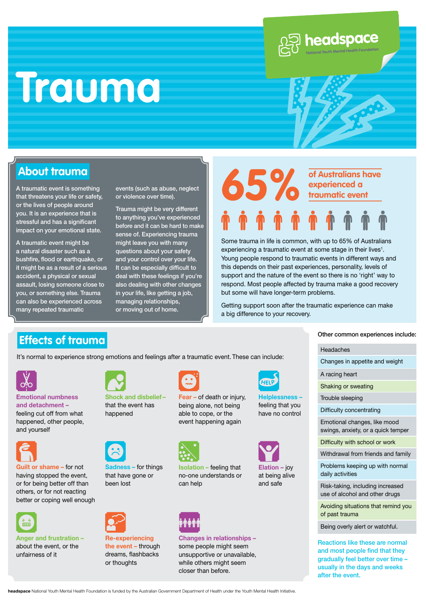# **Trauma**



### **About trauma**

A traumatic event is something that threatens your life or safety, or the lives of people around you. It is an experience that is stressful and has a significant impact on your emotional state.

A traumatic event might be a natural disaster such as a bushfire, flood or earthquake, or it might be as a result of a serious accident, a physical or sexual assault, losing someone close to you, or something else. Trauma can also be experienced across many repeated traumatic

events (such as abuse, neglect or violence over time).

Trauma might be very different to anything you've experienced before and it can be hard to make sense of. Experiencing trauma might leave you with many questions about your safety and your control over your life. It can be especially difficult to deal with these feelings if you're also dealing with other changes in your life, like getting a job, managing relationships, or moving out of home.

## **of Australians have experienced a traumatic event**

Some trauma in life is common, with up to 65% of Australians experiencing a traumatic event at some stage in their lives<sup>1</sup>. Young people respond to traumatic events in different ways and this depends on their past experiences, personality, levels of support and the nature of the event so there is no 'right' way to respond. Most people affected by trauma make a good recovery but some will have longer-term problems.

Getting support soon after the traumatic experience can make a big difference to your recovery.

## **Effects of trauma Effects** of **trauma Other Common experiences include:**

It's normal to experience strong emotions and feelings after a traumatic event. These can include:



#### **Emotional numbness and detachment –** feeling cut off from what

happened, other people, and yourself



**Guilt or shame –** for not having stopped the event, or for being better off than others, or for not reacting better or coping well enough



**Anger and frustration –** about the event, or the unfairness of it



**Shock and disbelief –**  that the event has happened



**Sadness –** for things that have gone or been lost



**Re-experiencing the event –** through dreams, flashbacks or thoughts



#### **Fear –** of death or injury, being alone, not being able to cope, or the event happening again



**Isolation –** feeling that no-one understands or can help



#### **Changes in relationships –**  some people might seem unsupportive or unavailable, while others might seem closer than before.

## **HEIT**

**Helplessness –**  feeling that you have no control



**Elation –** joy at being alive and safe

Headaches

Changes in appetite and weight

A racing heart

Shaking or sweating

Trouble sleeping

Difficulty concentrating

Emotional changes, like mood swings, anxiety, or a quick temper

Difficulty with school or work

Withdrawal from friends and family

Problems keeping up with normal daily activities

Risk-taking, including increased use of alcohol and other drugs

Avoiding situations that remind you of past trauma

Being overly alert or watchful.

Reactions like these are normal and most people find that they gradually feel better over time – usually in the days and weeks after the event.

**headspace** National Youth Mental Health Foundation is funded by the Australian Government Department of Health under the Youth Mental Health Initiative.